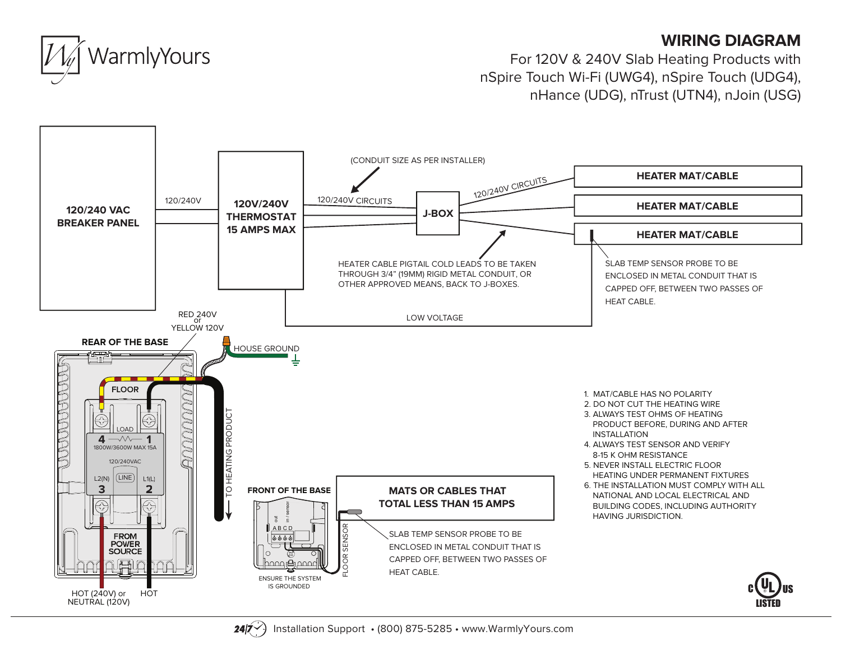## **WIRING DIAGRAM**



For 120V & 240V Slab Heating Products with nSpire Touch Wi-Fi (UWG4), nSpire Touch (UDG4), nHance (UDG), nTrust (UTN4), nJoin (USG)